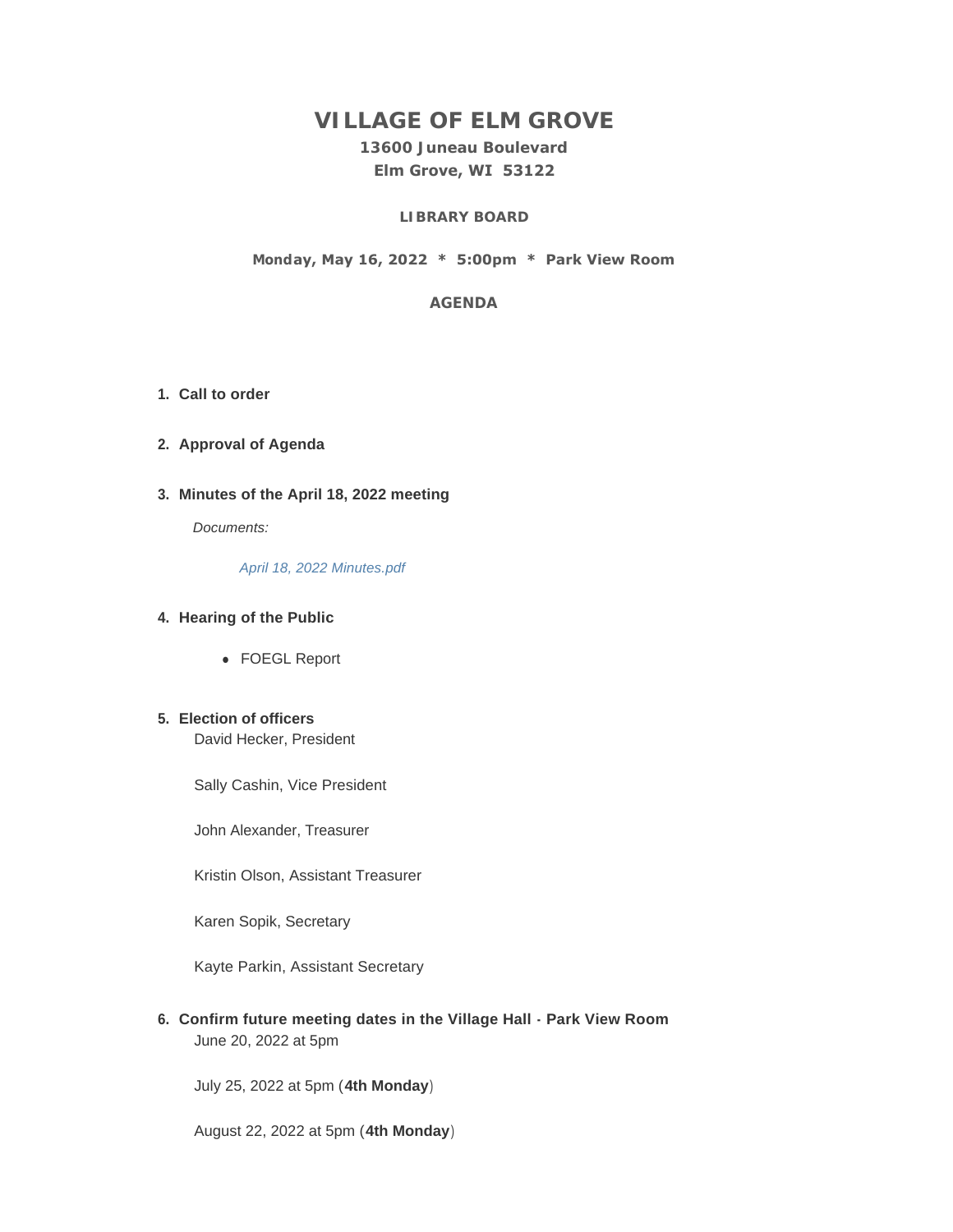# **VILLAGE OF ELM GROVE**

## **13600 Juneau Boulevard Elm Grove, WI 53122**

## **LIBRARY BOARD**

#### **Monday, May 16, 2022 \* 5:00pm \* Park View Room**

#### **AGENDA**

- **Call to order 1.**
- **Approval of Agenda 2.**
- **Minutes of the April 18, 2022 meeting 3.**

*Documents:*

*[April 18, 2022 Minutes.pdf](https://elmgrovewi.org/AgendaCenter/ViewFile/Item/11876?fileID=18978)*

#### **Hearing of the Public 4.**

• FOEGL Report

## **Election of officers 5.**

David Hecker, President

Sally Cashin, Vice President

John Alexander, Treasurer

Kristin Olson, Assistant Treasurer

Karen Sopik, Secretary

Kayte Parkin, Assistant Secretary

**Confirm future meeting dates in the Village Hall - Park View Room 6.** June 20, 2022 at 5pm

July 25, 2022 at 5pm (**4th Monday**)

August 22, 2022 at 5pm (**4th Monday**)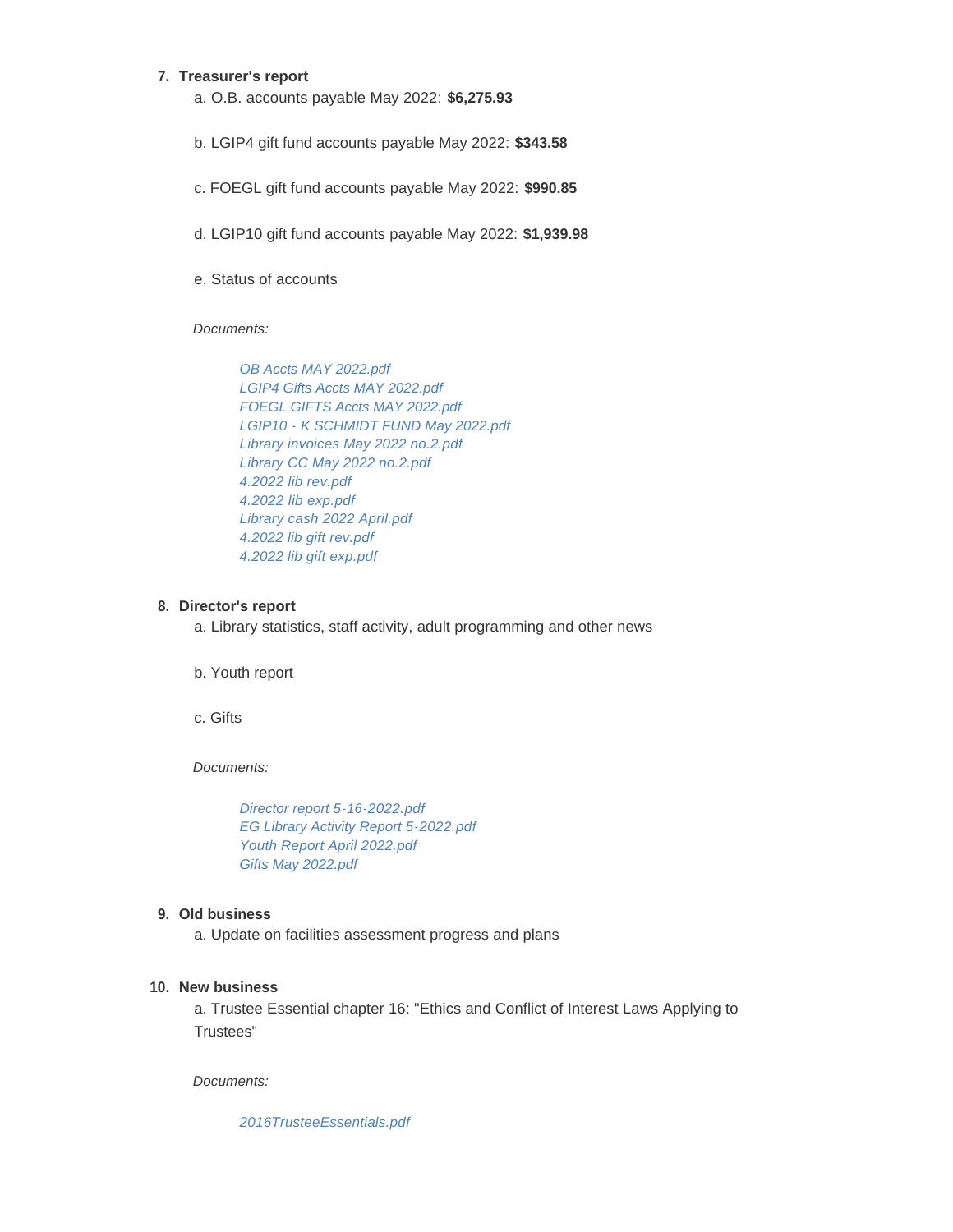#### **Treasurer's report 7.**

- a. O.B. accounts payable May 2022: **\$6,275.93**
- b. LGIP4 gift fund accounts payable May 2022: **\$343.58**
- c. FOEGL gift fund accounts payable May 2022: **\$990.85**
- d. LGIP10 gift fund accounts payable May 2022: **\$1,939.98**
- e. Status of accounts

#### *Documents:*

*[OB Accts MAY 2022.pdf](https://elmgrovewi.org/AgendaCenter/ViewFile/Item/11881?fileID=18980) [LGIP4 Gifts Accts MAY 2022.pdf](https://elmgrovewi.org/AgendaCenter/ViewFile/Item/11881?fileID=18981) [FOEGL GIFTS Accts MAY 2022.pdf](https://elmgrovewi.org/AgendaCenter/ViewFile/Item/11881?fileID=18982) [LGIP10 - K SCHMIDT FUND May 2022.pdf](https://elmgrovewi.org/AgendaCenter/ViewFile/Item/11881?fileID=18983) [Library invoices May 2022 no.2.pdf](https://elmgrovewi.org/AgendaCenter/ViewFile/Item/11881?fileID=18984) [Library CC May 2022 no.2.pdf](https://elmgrovewi.org/AgendaCenter/ViewFile/Item/11881?fileID=18985) [4.2022 lib rev.pdf](https://elmgrovewi.org/AgendaCenter/ViewFile/Item/11881?fileID=18986) [4.2022 lib exp.pdf](https://elmgrovewi.org/AgendaCenter/ViewFile/Item/11881?fileID=18987) [Library cash 2022 April.pdf](https://elmgrovewi.org/AgendaCenter/ViewFile/Item/11881?fileID=18988) [4.2022 lib gift rev.pdf](https://elmgrovewi.org/AgendaCenter/ViewFile/Item/11881?fileID=18989) [4.2022 lib gift exp.pdf](https://elmgrovewi.org/AgendaCenter/ViewFile/Item/11881?fileID=18990)*

#### **Director's report 8.**

a. Library statistics, staff activity, adult programming and other news

b. Youth report

c. Gifts

*Documents:*

*[Director report 5-16-2022.pdf](https://elmgrovewi.org/AgendaCenter/ViewFile/Item/11899?fileID=19007) [EG Library Activity Report 5-2022.pdf](https://elmgrovewi.org/AgendaCenter/ViewFile/Item/11899?fileID=19008) [Youth Report April 2022.pdf](https://elmgrovewi.org/AgendaCenter/ViewFile/Item/11899?fileID=19009) [Gifts May 2022.pdf](https://elmgrovewi.org/AgendaCenter/ViewFile/Item/11899?fileID=19010)*

## **Old business 9.**

a. Update on facilities assessment progress and plans

## **New business 10.**

a. Trustee Essential chapter 16: "Ethics and Conflict of Interest Laws Applying to Trustees"

*Documents:*

*[2016TrusteeEssentials.pdf](https://elmgrovewi.org/AgendaCenter/ViewFile/Item/11879?fileID=18979)*